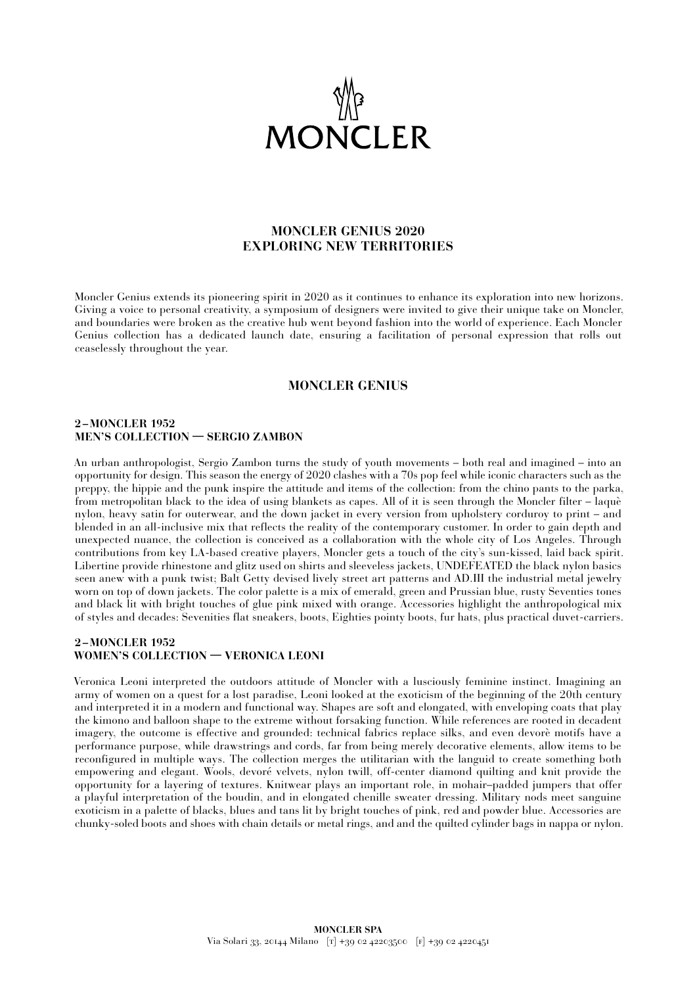

# **MONCLER GENIUS 2020 EXPLORING NEW TERRITORIES**

Moncler Genius extends its pioneering spirit in 2020 as it continues to enhance its exploration into new horizons. Giving a voice to personal creativity, a symposium of designers were invited to give their unique take on Moncler, and boundaries were broken as the creative hub went beyond fashion into the world of experience. Each Moncler Genius collection has a dedicated launch date, ensuring a facilitation of personal expression that rolls out ceaselessly throughout the year.

## **MONCLER GENIUS**

#### **2 –MONCLER 1952 MEN'S COLLECTION — SERGIO ZAMBON**

An urban anthropologist, Sergio Zambon turns the study of youth movements – both real and imagined – into an opportunity for design. This season the energy of 2020 clashes with a 70s pop feel while iconic characters such as the preppy, the hippie and the punk inspire the attitude and items of the collection: from the chino pants to the parka, from metropolitan black to the idea of using blankets as capes. All of it is seen through the Moncler filter – laquè nylon, heavy satin for outerwear, and the down jacket in every version from upholstery corduroy to print – and blended in an all-inclusive mix that reflects the reality of the contemporary customer. In order to gain depth and unexpected nuance, the collection is conceived as a collaboration with the whole city of Los Angeles. Through contributions from key LA-based creative players, Moncler gets a touch of the city's sun-kissed, laid back spirit. Libertine provide rhinestone and glitz used on shirts and sleeveless jackets, UNDEFEATED the black nylon basics seen anew with a punk twist; Balt Getty devised lively street art patterns and AD.III the industrial metal jewelry worn on top of down jackets. The color palette is a mix of emerald, green and Prussian blue, rusty Seventies tones and black lit with bright touches of glue pink mixed with orange. Accessories highlight the anthropological mix of styles and decades: Sevenities flat sneakers, boots, Eighties pointy boots, fur hats, plus practical duvet-carriers.

## **2 –MONCLER 1952 WOMEN'S COLLECTION — VERONICA LEONI**

Veronica Leoni interpreted the outdoors attitude of Moncler with a lusciously feminine instinct. Imagining an army of women on a quest for a lost paradise, Leoni looked at the exoticism of the beginning of the 20th century and interpreted it in a modern and functional way. Shapes are soft and elongated, with enveloping coats that play the kimono and balloon shape to the extreme without forsaking function. While references are rooted in decadent imagery, the outcome is effective and grounded: technical fabrics replace silks, and even devorè motifs have a performance purpose, while drawstrings and cords, far from being merely decorative elements, allow items to be reconfigured in multiple ways. The collection merges the utilitarian with the languid to create something both empowering and elegant. Wools, devoré velvets, nylon twill, off-center diamond quilting and knit provide the opportunity for a layering of textures. Knitwear plays an important role, in mohair–padded jumpers that offer a playful interpretation of the boudin, and in elongated chenille sweater dressing. Military nods meet sanguine exoticism in a palette of blacks, blues and tans lit by bright touches of pink, red and powder blue. Accessories are chunky-soled boots and shoes with chain details or metal rings, and and the quilted cylinder bags in nappa or nylon.